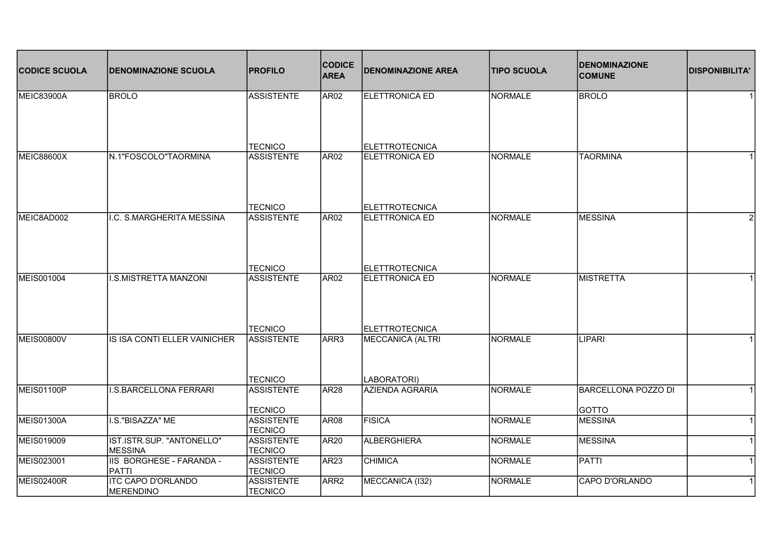| <b>CODICE SCUOLA</b> | <b>DENOMINAZIONE SCUOLA</b>                   | <b>PROFILO</b>                      | <b>CODICE</b><br><b>AREA</b> | <b>DENOMINAZIONE AREA</b>               | <b>TIPO SCUOLA</b> | <b>DENOMINAZIONE</b><br><b>COMUNE</b> | <b>DISPONIBILITA'</b> |
|----------------------|-----------------------------------------------|-------------------------------------|------------------------------|-----------------------------------------|--------------------|---------------------------------------|-----------------------|
| MEIC83900A           | <b>BROLO</b>                                  | <b>ASSISTENTE</b>                   | AR <sub>02</sub>             | <b>ELETTRONICA ED</b>                   | NORMALE            | <b>BROLO</b>                          |                       |
|                      |                                               |                                     |                              |                                         |                    |                                       |                       |
|                      | N.1"FOSCOLO"TAORMINA                          | <b>TECNICO</b><br><b>ASSISTENTE</b> | AR <sub>02</sub>             | <b>ELETTROTECNICA</b><br>ELETTRONICA ED | NORMALE            | <b>TAORMINA</b>                       |                       |
| <b>MEIC88600X</b>    |                                               |                                     |                              |                                         |                    |                                       |                       |
|                      |                                               | <b>TECNICO</b>                      |                              | <b>ELETTROTECNICA</b>                   |                    |                                       |                       |
| MEIC8AD002           | I.C. S.MARGHERITA MESSINA                     | <b>ASSISTENTE</b>                   | AR <sub>02</sub>             | <b>ELETTRONICA ED</b>                   | NORMALE            | <b>MESSINA</b>                        | 2                     |
|                      |                                               | <b>TECNICO</b>                      |                              | <b>ELETTROTECNICA</b>                   |                    |                                       |                       |
| MEIS001004           | <b>I.S.MISTRETTA MANZONI</b>                  | <b>ASSISTENTE</b>                   | AR <sub>02</sub>             | <b>ELETTRONICA ED</b>                   | <b>NORMALE</b>     | <b>MISTRETTA</b>                      |                       |
|                      |                                               | <b>TECNICO</b>                      |                              | <b>ELETTROTECNICA</b>                   |                    |                                       |                       |
| <b>MEIS00800V</b>    | <b>IS ISA CONTI ELLER VAINICHER</b>           | <b>ASSISTENTE</b>                   | ARR3                         | <b>MECCANICA (ALTRI</b>                 | <b>NORMALE</b>     | LIPARI                                |                       |
|                      |                                               | <b>TECNICO</b>                      |                              | LABORATORI)                             |                    |                                       |                       |
| <b>MEIS01100P</b>    | <b>I.S.BARCELLONA FERRARI</b>                 | <b>ASSISTENTE</b>                   | AR <sub>28</sub>             | <b>AZIENDA AGRARIA</b>                  | <b>NORMALE</b>     | <b>BARCELLONA POZZO DI</b>            |                       |
|                      |                                               | <b>TECNICO</b>                      |                              |                                         |                    | GOTTO                                 |                       |
| <b>MEIS01300A</b>    | I.S."BISAZZA" ME                              | <b>ASSISTENTE</b><br><b>TECNICO</b> | AR <sub>08</sub>             | FISICA                                  | <b>NORMALE</b>     | MESSINA                               |                       |
| MEIS019009           | IST.ISTR.SUP. "ANTONELLO"<br><b>MESSINA</b>   | <b>ASSISTENTE</b><br><b>TECNICO</b> | AR <sub>20</sub>             | ALBERGHIERA                             | <b>NORMALE</b>     | MESSINA                               |                       |
| MEIS023001           | IIS BORGHESE - FARANDA -<br><b>PATTI</b>      | <b>ASSISTENTE</b><br><b>TECNICO</b> | AR <sub>23</sub>             | <b>CHIMICA</b>                          | <b>NORMALE</b>     | PATTI                                 |                       |
| <b>MEIS02400R</b>    | <b>ITC CAPO D'ORLANDO</b><br><b>MERENDINO</b> | <b>ASSISTENTE</b><br><b>TECNICO</b> | ARR <sub>2</sub>             | MECCANICA (132)                         | <b>NORMALE</b>     | CAPO D'ORLANDO                        |                       |